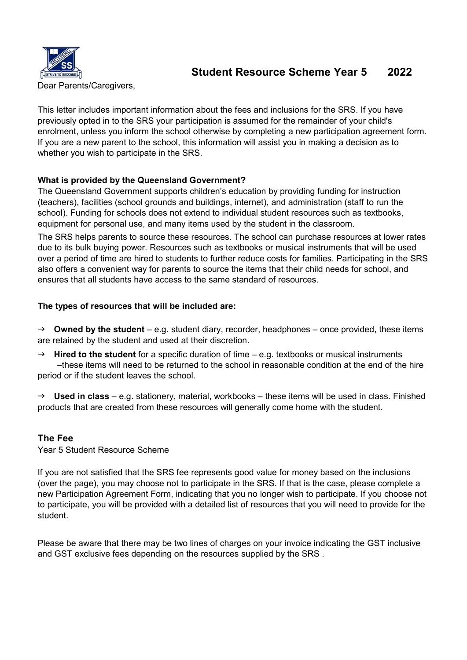

# Student Resource Scheme Year 5 2022

Dear Parents/Caregivers,

This letter includes important information about the fees and inclusions for the SRS. If you have previously opted in to the SRS your participation is assumed for the remainder of your child's enrolment, unless you inform the school otherwise by completing a new participation agreement form. If you are a new parent to the school, this information will assist you in making a decision as to whether you wish to participate in the SRS.

## What is provided by the Queensland Government?

The Queensland Government supports children's education by providing funding for instruction (teachers), facilities (school grounds and buildings, internet), and administration (staff to run the school). Funding for schools does not extend to individual student resources such as textbooks, equipment for personal use, and many items used by the student in the classroom.

The SRS helps parents to source these resources. The school can purchase resources at lower rates due to its bulk buying power. Resources such as textbooks or musical instruments that will be used over a period of time are hired to students to further reduce costs for families. Participating in the SRS also offers a convenient way for parents to source the items that their child needs for school, and ensures that all students have access to the same standard of resources.

## The types of resources that will be included are:

 $\rightarrow$  Owned by the student – e.g. student diary, recorder, headphones – once provided, these items are retained by the student and used at their discretion.

**Hired to the student** for a specific duration of time  $-$  e.g. textbooks or musical instruments –these items will need to be returned to the school in reasonable condition at the end of the hire period or if the student leaves the school.

 $\rightarrow$  Used in class – e.g. stationery, material, workbooks – these items will be used in class. Finished products that are created from these resources will generally come home with the student.

## The Fee

Year 5 Student Resource Scheme

If you are not satisfied that the SRS fee represents good value for money based on the inclusions (over the page), you may choose not to participate in the SRS. If that is the case, please complete a new Participation Agreement Form, indicating that you no longer wish to participate. If you choose not to participate, you will be provided with a detailed list of resources that you will need to provide for the student.

Please be aware that there may be two lines of charges on your invoice indicating the GST inclusive and GST exclusive fees depending on the resources supplied by the SRS .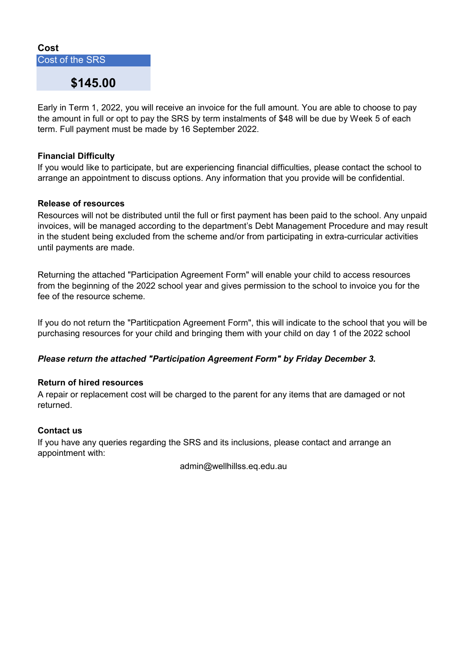#### Cost

Cost of the SRS

## \$145.00

Early in Term 1, 2022, you will receive an invoice for the full amount. You are able to choose to pay the amount in full or opt to pay the SRS by term instalments of \$48 will be due by Week 5 of each term. Full payment must be made by 16 September 2022.

#### Financial Difficulty

If you would like to participate, but are experiencing financial difficulties, please contact the school to arrange an appointment to discuss options. Any information that you provide will be confidential.

#### Release of resources

Resources will not be distributed until the full or first payment has been paid to the school. Any unpaid invoices, will be managed according to the department's Debt Management Procedure and may result in the student being excluded from the scheme and/or from participating in extra-curricular activities until payments are made.

Returning the attached "Participation Agreement Form" will enable your child to access resources from the beginning of the 2022 school year and gives permission to the school to invoice you for the fee of the resource scheme.

If you do not return the "Partiticpation Agreement Form", this will indicate to the school that you will be purchasing resources for your child and bringing them with your child on day 1 of the 2022 school

#### Please return the attached "Participation Agreement Form" by Friday December 3.

#### Return of hired resources

A repair or replacement cost will be charged to the parent for any items that are damaged or not returned.

#### Contact us

If you have any queries regarding the SRS and its inclusions, please contact and arrange an appointment with:

admin@wellhillss.eq.edu.au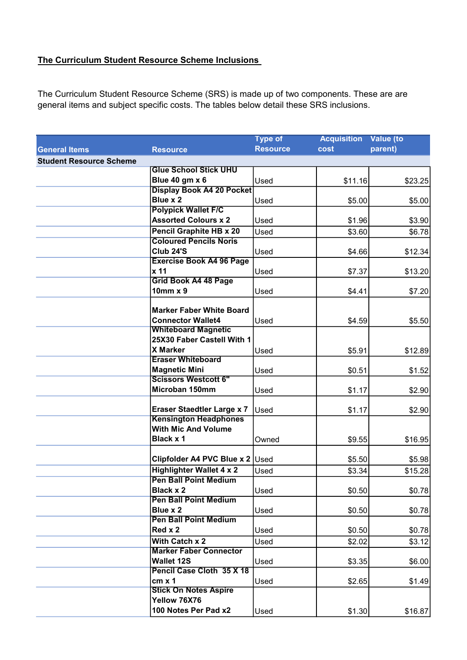## The Curriculum Student Resource Scheme Inclusions

The Curriculum Student Resource Scheme (SRS) is made up of two components. These are are general items and subject specific costs. The tables below detail these SRS inclusions.

|                                |                                                     | <b>Type of</b>  | <b>Acquisition</b> | Value (to |
|--------------------------------|-----------------------------------------------------|-----------------|--------------------|-----------|
| <b>General Items</b>           | <b>Resource</b>                                     | <b>Resource</b> | <b>cost</b>        | parent)   |
| <b>Student Resource Scheme</b> |                                                     |                 |                    |           |
|                                | <b>Glue School Stick UHU</b>                        |                 |                    |           |
|                                | Blue 40 gm x 6                                      | Used            | \$11.16            | \$23.25   |
|                                | <b>Display Book A4 20 Pocket</b>                    |                 |                    |           |
|                                | Blue x 2                                            | Used            | \$5.00             | \$5.00    |
|                                | <b>Polypick Wallet F/C</b>                          |                 |                    |           |
|                                | <b>Assorted Colours x 2</b>                         | Used            | \$1.96             | \$3.90    |
|                                | <b>Pencil Graphite HB x 20</b>                      | Used            | \$3.60             | \$6.78    |
|                                | <b>Coloured Pencils Noris</b>                       |                 |                    |           |
|                                | <b>Club 24'S</b>                                    | Used            | \$4.66             | \$12.34   |
|                                | <b>Exercise Book A4 96 Page</b>                     |                 |                    |           |
|                                | x 11                                                | Used            | \$7.37             | \$13.20   |
|                                | <b>Grid Book A4 48 Page</b>                         |                 |                    |           |
|                                | $10$ mm $x$ 9                                       | Used            | \$4.41             | \$7.20    |
|                                |                                                     |                 |                    |           |
|                                | <b>Marker Faber White Board</b>                     |                 |                    |           |
|                                | <b>Connector Wallet4</b>                            | Used            | \$4.59             | \$5.50    |
|                                | <b>Whiteboard Magnetic</b>                          |                 |                    |           |
|                                | 25X30 Faber Castell With 1                          |                 |                    |           |
|                                | <b>X Marker</b><br><b>Eraser Whiteboard</b>         | Used            | \$5.91             | \$12.89   |
|                                |                                                     |                 |                    |           |
|                                | <b>Magnetic Mini</b><br><b>Scissors Westcott 6"</b> | Used            | \$0.51             | \$1.52    |
|                                | Microban 150mm                                      |                 |                    |           |
|                                |                                                     | Used            | \$1.17             | \$2.90    |
|                                | <b>Eraser Staedtler Large x 7</b>                   | Used            | \$1.17             | \$2.90    |
|                                | <b>Kensington Headphones</b>                        |                 |                    |           |
|                                | <b>With Mic And Volume</b>                          |                 |                    |           |
|                                | <b>Black x 1</b>                                    | Owned           | \$9.55             | \$16.95   |
|                                |                                                     |                 |                    |           |
|                                | Clipfolder A4 PVC Blue x 2 Used                     |                 | \$5.50             | \$5.98    |
|                                | <b>Highlighter Wallet 4 x 2</b>                     | Used            | \$3.34             | \$15.28   |
|                                | <b>Pen Ball Point Medium</b>                        |                 |                    |           |
|                                | <b>Black x 2</b>                                    | Used            | \$0.50             | \$0.78    |
|                                | <b>Pen Ball Point Medium</b>                        |                 |                    |           |
|                                | Blue x 2                                            | Used            | \$0.50             | \$0.78    |
|                                | <b>Pen Ball Point Medium</b>                        |                 |                    |           |
|                                | Red x 2                                             | Used            | \$0.50             | \$0.78    |
|                                | With Catch x 2                                      | Used            | \$2.02             | \$3.12    |
|                                | <b>Marker Faber Connector</b>                       |                 |                    |           |
|                                | <b>Wallet 12S</b>                                   | Used            | \$3.35             | \$6.00    |
|                                | Pencil Case Cloth 35 X 18                           |                 |                    |           |
|                                | $cm \times 1$                                       | Used            | \$2.65             | \$1.49    |
|                                | <b>Stick On Notes Aspire</b>                        |                 |                    |           |
|                                | Yellow 76X76                                        |                 |                    |           |
|                                | 100 Notes Per Pad x2                                | Used            | \$1.30             | \$16.87   |